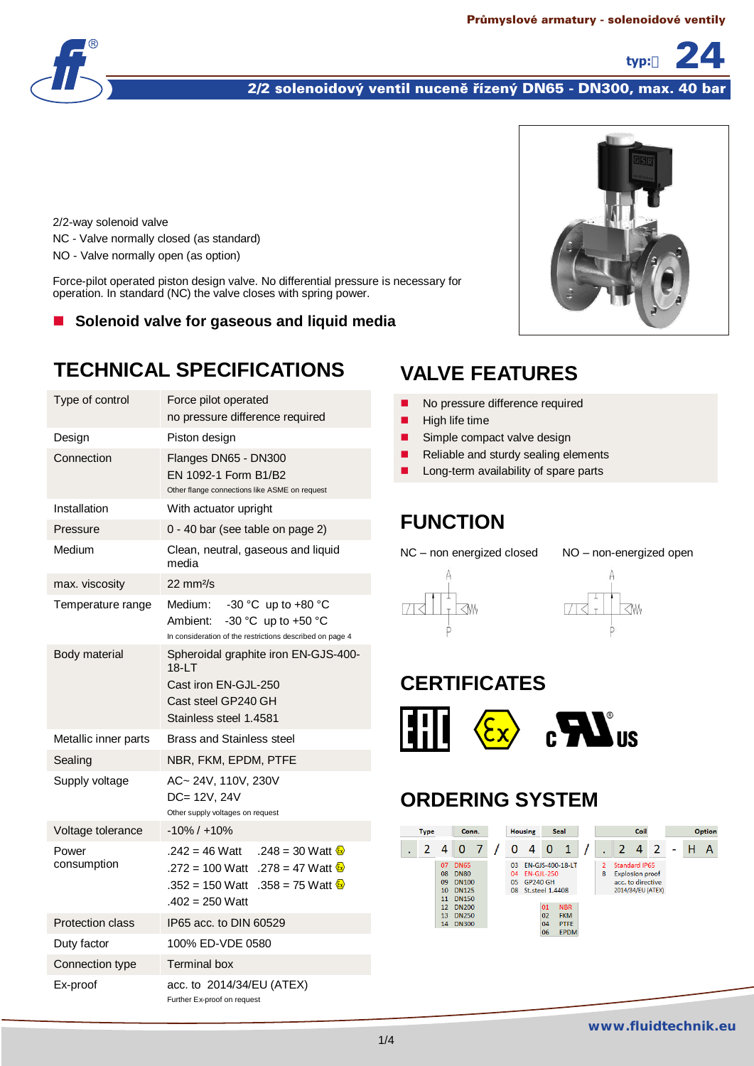**typ:** 24



2/2 solenoidový ventil nuceně řízený DN65 - DN300, max. 40 bar

2/2-way solenoid valve NC - Valve normally closed (as standard) NO - Valve normally open (as option)

Force-pilot operated piston design valve. No differential pressure is necessary for operation. In standard (NC) the valve closes with spring power.

#### **Solenoid valve for gaseous and liquid media**

# **TECHNICAL SPECIFICATIONS**

| Type of control         | Force pilot operated<br>no pressure difference required                                                                                                                          |  |  |  |  |  |  |
|-------------------------|----------------------------------------------------------------------------------------------------------------------------------------------------------------------------------|--|--|--|--|--|--|
| Design                  | Piston design                                                                                                                                                                    |  |  |  |  |  |  |
| Connection              | Flanges DN65 - DN300<br>EN 1092-1 Form B1/B2<br>Other flange connections like ASME on request                                                                                    |  |  |  |  |  |  |
| Installation            | With actuator upright                                                                                                                                                            |  |  |  |  |  |  |
| Pressure                | 0 - 40 bar (see table on page 2)                                                                                                                                                 |  |  |  |  |  |  |
| Medium                  | Clean, neutral, gaseous and liquid<br>media                                                                                                                                      |  |  |  |  |  |  |
| max. viscosity          | 22 mm <sup>2</sup> /s                                                                                                                                                            |  |  |  |  |  |  |
| Temperature range       | -30 °C up to +80 $\degree$ C<br>Medium:<br>-30 °C up to +50 °C<br>Ambient:<br>In consideration of the restrictions described on page 4                                           |  |  |  |  |  |  |
| Body material           | Spheroidal graphite iron EN-GJS-400-<br>18-LT<br>Cast iron EN-GJL-250<br>Cast steel GP240 GH<br>Stainless steel 1.4581                                                           |  |  |  |  |  |  |
| Metallic inner parts    | <b>Brass and Stainless steel</b>                                                                                                                                                 |  |  |  |  |  |  |
| Sealing                 | NBR, FKM, EPDM, PTFE                                                                                                                                                             |  |  |  |  |  |  |
| Supply voltage          | AC~ 24V, 110V, 230V<br>DC= 12V, 24V<br>Other supply voltages on request                                                                                                          |  |  |  |  |  |  |
| Voltage tolerance       | -10% / +10%                                                                                                                                                                      |  |  |  |  |  |  |
| Power<br>consumption    | .242 = 46 Watt<br>.248 = 30 Watt $\frac{\mathbb{Z}}{2}$<br>.272 = 100 Watt .278 = 47 Watt $\frac{6x}{x}$<br>.358 = 75 Watt $\frac{8}{3}$<br>.352 = 150 Watt<br>$.402 = 250$ Watt |  |  |  |  |  |  |
| <b>Protection class</b> | IP65 acc. to DIN 60529                                                                                                                                                           |  |  |  |  |  |  |
| Duty factor             | 100% ED-VDE 0580                                                                                                                                                                 |  |  |  |  |  |  |
| Connection type         | <b>Terminal box</b>                                                                                                                                                              |  |  |  |  |  |  |
| Ex-proof                | acc. to 2014/34/EU (ATEX)<br>Further Ex-proof on request                                                                                                                         |  |  |  |  |  |  |

# **VALVE FEATURES**

- No pressure difference required
- $\blacksquare$  High life time
- Simple compact valve design
- Reliable and sturdy sealing elements
- Long-term availability of spare parts

## **FUNCTION**

NC – non energized closed NO – non-energized open





# **CERTIFICATES**



## **ORDERING SYSTEM**

| <b>Type</b> |                                         | Conn.                                                                      |  | <b>Housing</b> |                                                        | <b>Seal</b>          |                                                        | Coil                |               |                                                              |                   | Option |  |
|-------------|-----------------------------------------|----------------------------------------------------------------------------|--|----------------|--------------------------------------------------------|----------------------|--------------------------------------------------------|---------------------|---------------|--------------------------------------------------------------|-------------------|--------|--|
|             | 4                                       | 0                                                                          |  | 0              | 4                                                      | 0                    | 1                                                      |                     | $\mathcal{L}$ | 4                                                            | -2                |        |  |
|             | 07<br>08<br>09<br>10 <sup>1</sup><br>11 | <b>DN65</b><br><b>DN80</b><br><b>DN100</b><br><b>DN125</b><br><b>DN150</b> |  | 03<br>04       | <b>FN-GIL-250</b><br>05 GP240 GH<br>08 St.steel 1.4408 |                      | EN-GJS-400-18-LT                                       | $\overline{2}$<br>8 |               | Standard IP65<br><b>Explosion proof</b><br>acc. to directive | 2014/34/EU (ATEX) |        |  |
|             | 12<br>13<br>14                          | <b>DN200</b><br>DN250<br><b>DN300</b>                                      |  |                |                                                        | 01<br>02<br>04<br>06 | <b>NBR</b><br><b>FKM</b><br><b>PTFE</b><br><b>EPDM</b> |                     |               |                                                              |                   |        |  |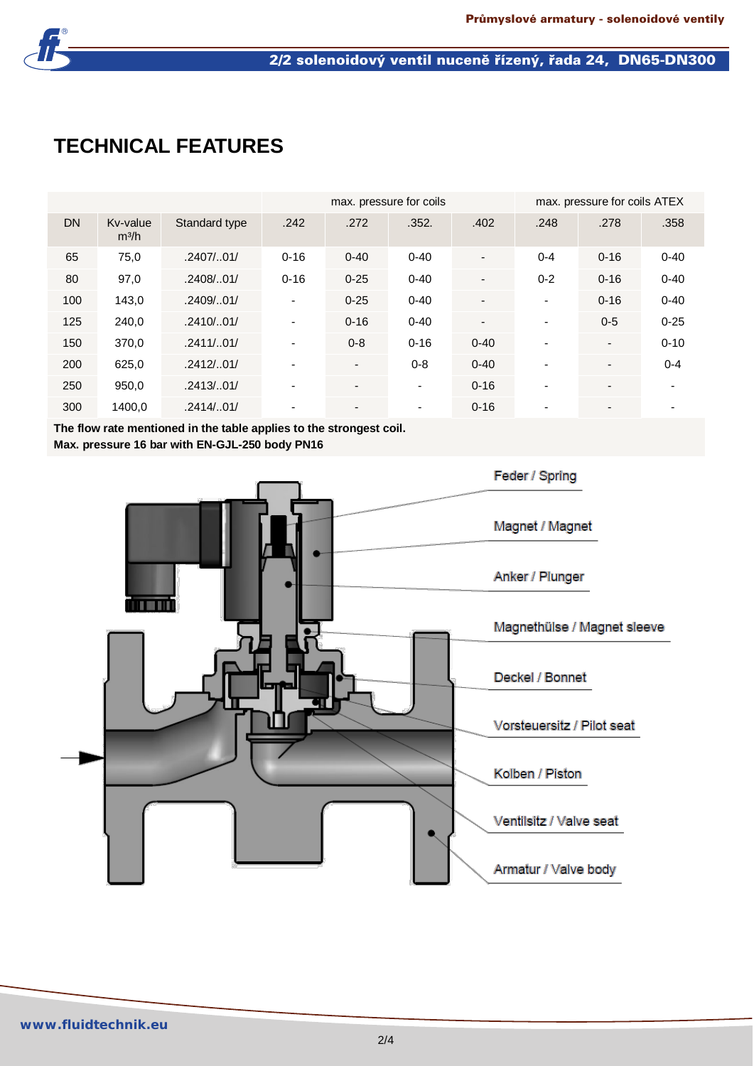

# **TECHNICAL FEATURES**

|           |                               |               |                          | max. pressure for coils |                          | max. pressure for coils ATEX |                          |                          |          |
|-----------|-------------------------------|---------------|--------------------------|-------------------------|--------------------------|------------------------------|--------------------------|--------------------------|----------|
| <b>DN</b> | Kv-value<br>m <sup>3</sup> /h | Standard type | .242                     | .272                    | .352.                    | .402                         | .248                     | .278                     | .358     |
| 65        | 75,0                          | .2407/0.01/   | $0 - 16$                 | $0 - 40$                | $0 - 40$                 |                              | $0 - 4$                  | $0 - 16$                 | $0 - 40$ |
| 80        | 97,0                          | .2408/.01/    | $0 - 16$                 | $0 - 25$                | $0 - 40$                 |                              | $0 - 2$                  | $0 - 16$                 | $0 - 40$ |
| 100       | 143,0                         | .2409/.01/    | $\overline{\phantom{a}}$ | $0 - 25$                | $0 - 40$                 |                              | $\blacksquare$           | $0 - 16$                 | $0 - 40$ |
| 125       | 240,0                         | .2410/.01/    | $\overline{\phantom{a}}$ | $0 - 16$                | $0 - 40$                 | $\overline{\phantom{0}}$     | $\blacksquare$           | $0 - 5$                  | $0 - 25$ |
| 150       | 370,0                         | .2411/.01/    | $\blacksquare$           | $0 - 8$                 | $0 - 16$                 | $0 - 40$                     | $\overline{\phantom{a}}$ | $\blacksquare$           | $0 - 10$ |
| 200       | 625,0                         | .2412/0.01/   |                          | $\blacksquare$          | $0 - 8$                  | $0 - 40$                     |                          | $\overline{\phantom{a}}$ | $0 - 4$  |
| 250       | 950,0                         | .2413/0.01/   | $\overline{\phantom{a}}$ |                         | $\overline{\phantom{0}}$ | $0 - 16$                     |                          | $\overline{\phantom{0}}$ |          |
| 300       | 1400,0                        | .2414/.01/    | $\blacksquare$           | $\blacksquare$          | $\blacksquare$           | $0 - 16$                     |                          | $\overline{\phantom{a}}$ |          |

**The flow rate mentioned in the table applies to the strongest coil.**

**Max. pressure 16 bar with EN-GJL-250 body PN16**

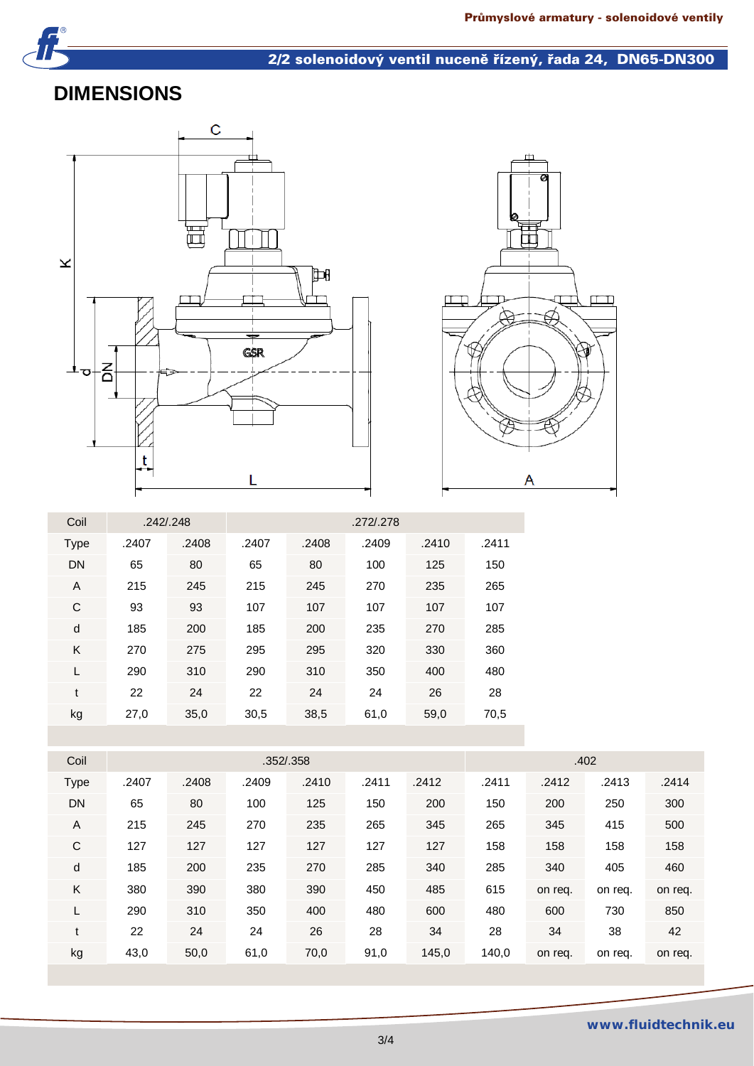

## 2/2 solenoidový ventil nuceně řízený, řada 24, DN65-DN300

### **DIMENSIONS**





| Coil      |       | .242/0.248 |       | .272/.278 |       |       |       |  |  |  |  |
|-----------|-------|------------|-------|-----------|-------|-------|-------|--|--|--|--|
| Type      | .2407 | .2408      | .2407 | .2408     | .2409 | .2410 | .2411 |  |  |  |  |
| <b>DN</b> | 65    | 80         | 65    | 80        | 100   | 125   | 150   |  |  |  |  |
| A         | 215   | 245        | 215   | 245       | 270   | 235   | 265   |  |  |  |  |
| C         | 93    | 93         | 107   | 107       | 107   | 107   | 107   |  |  |  |  |
| d         | 185   | 200        | 185   | 200       | 235   | 270   | 285   |  |  |  |  |
| K         | 270   | 275        | 295   | 295       | 320   | 330   | 360   |  |  |  |  |
| L         | 290   | 310        | 290   | 310       | 350   | 400   | 480   |  |  |  |  |
| t         | 22    | 24         | 22    | 24        | 24    | 26    | 28    |  |  |  |  |
| kg        | 27,0  | 35,0       | 30,5  | 38,5      | 61,0  | 59,0  | 70,5  |  |  |  |  |

| .352/.358                                                                                    |         |  |  |  |  |  |
|----------------------------------------------------------------------------------------------|---------|--|--|--|--|--|
| Coil                                                                                         | .402    |  |  |  |  |  |
| .2407<br>.2408<br>.2409<br>.2411<br>.2412<br>.2411<br>.2412<br>.2410<br>.2413<br><b>Type</b> | .2414   |  |  |  |  |  |
| <b>DN</b><br>80<br>65<br>125<br>200<br>200<br>100<br>150<br>150<br>250                       | 300     |  |  |  |  |  |
| A<br>215<br>245<br>270<br>235<br>265<br>345<br>345<br>265<br>415                             | 500     |  |  |  |  |  |
| C<br>127<br>158<br>127<br>127<br>127<br>127<br>127<br>158<br>158                             | 158     |  |  |  |  |  |
| d<br>185<br>200<br>235<br>270<br>285<br>340<br>285<br>340<br>405                             | 460     |  |  |  |  |  |
| K<br>485<br>380<br>390<br>380<br>390<br>450<br>615<br>on req.<br>on req.                     | on req. |  |  |  |  |  |
| 290<br>310<br>350<br>480<br>600<br>400<br>480<br>600<br>730<br>L                             | 850     |  |  |  |  |  |
| 24<br>22<br>24<br>26<br>28<br>34<br>38<br>28<br>34<br>t                                      | 42      |  |  |  |  |  |
| kg<br>43,0<br>61,0<br>70,0<br>91,0<br>145,0<br>140,0<br>50,0<br>on req.<br>on req.           | on req. |  |  |  |  |  |